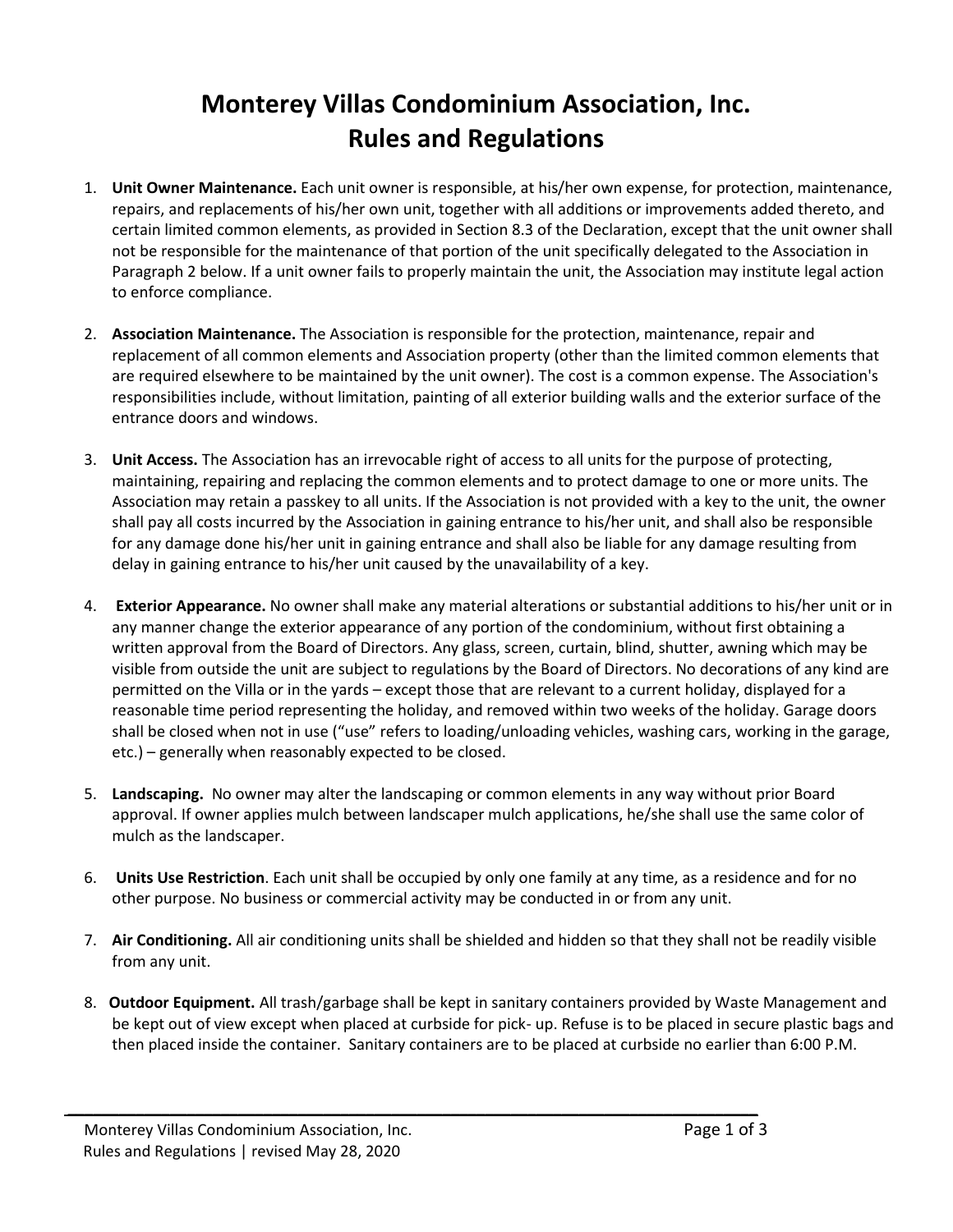## **Monterey Villas Condominium Association, Inc. Rules and Regulations**

- 1. **Unit Owner Maintenance.** Each unit owner is responsible, at his/her own expense, for protection, maintenance, repairs, and replacements of his/her own unit, together with all additions or improvements added thereto, and certain limited common elements, as provided in Section 8.3 of the Declaration, except that the unit owner shall not be responsible for the maintenance of that portion of the unit specifically delegated to the Association in Paragraph 2 below. If a unit owner fails to properly maintain the unit, the Association may institute legal action to enforce compliance.
- 2. **Association Maintenance.** The Association is responsible for the protection, maintenance, repair and replacement of all common elements and Association property (other than the limited common elements that are required elsewhere to be maintained by the unit owner). The cost is a common expense. The Association's responsibilities include, without limitation, painting of all exterior building walls and the exterior surface of the entrance doors and windows.
- 3. **Unit Access.** The Association has an irrevocable right of access to all units for the purpose of protecting, maintaining, repairing and replacing the common elements and to protect damage to one or more units. The Association may retain a passkey to all units. If the Association is not provided with a key to the unit, the owner shall pay all costs incurred by the Association in gaining entrance to his/her unit, and shall also be responsible for any damage done his/her unit in gaining entrance and shall also be liable for any damage resulting from delay in gaining entrance to his/her unit caused by the unavailability of a key.
- 4. **Exterior Appearance.** No owner shall make any material alterations or substantial additions to his/her unit or in any manner change the exterior appearance of any portion of the condominium, without first obtaining a written approval from the Board of Directors. Any glass, screen, curtain, blind, shutter, awning which may be visible from outside the unit are subject to regulations by the Board of Directors. No decorations of any kind are permitted on the Villa or in the yards – except those that are relevant to a current holiday, displayed for a reasonable time period representing the holiday, and removed within two weeks of the holiday. Garage doors shall be closed when not in use ("use" refers to loading/unloading vehicles, washing cars, working in the garage, etc.) – generally when reasonably expected to be closed.
- 5. **Landscaping.** No owner may alter the landscaping or common elements in any way without prior Board approval. If owner applies mulch between landscaper mulch applications, he/she shall use the same color of mulch as the landscaper.
- 6. **Units Use Restriction**. Each unit shall be occupied by only one family at any time, as a residence and for no other purpose. No business or commercial activity may be conducted in or from any unit.
- 7. **Air Conditioning.** All air conditioning units shall be shielded and hidden so that they shall not be readily visible from any unit.
- 8. **Outdoor Equipment.** All trash/garbage shall be kept in sanitary containers provided by Waste Management and be kept out of view except when placed at curbside for pick- up. Refuse is to be placed in secure plastic bags and then placed inside the container. Sanitary containers are to be placed at curbside no earlier than 6:00 P.M.

\_\_\_\_\_\_\_\_\_\_\_\_\_\_\_\_\_\_\_\_\_\_\_\_\_\_\_\_\_\_\_\_\_\_\_\_\_\_\_\_\_\_\_\_\_\_\_\_\_\_\_\_\_\_\_\_\_\_\_\_\_\_\_\_\_\_\_\_\_\_\_\_\_\_\_\_\_\_\_\_\_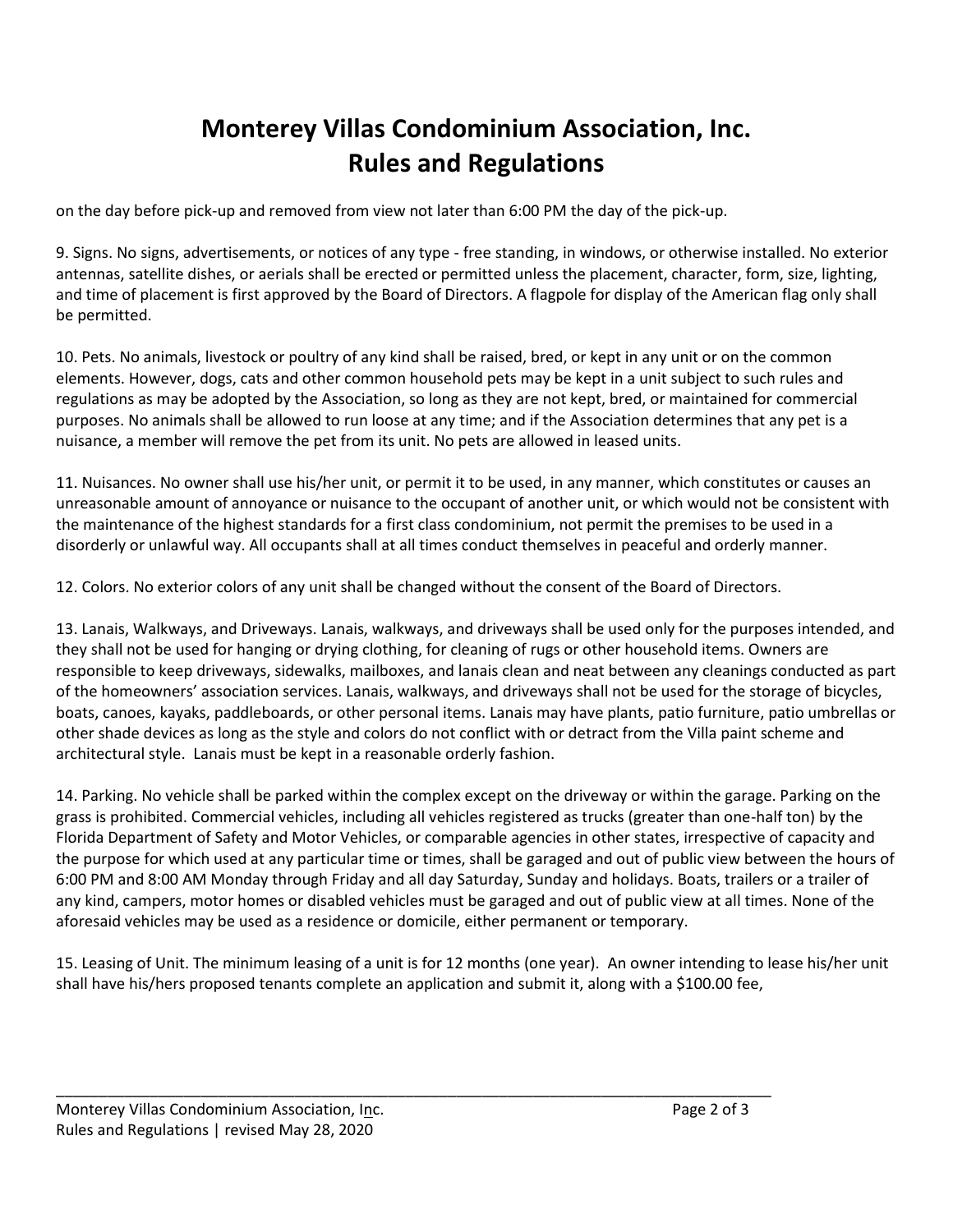## **Monterey Villas Condominium Association, Inc. Rules and Regulations**

on the day before pick-up and removed from view not later than 6:00 PM the day of the pick-up.

9. Signs. No signs, advertisements, or notices of any type - free standing, in windows, or otherwise installed. No exterior antennas, satellite dishes, or aerials shall be erected or permitted unless the placement, character, form, size, lighting, and time of placement is first approved by the Board of Directors. A flagpole for display of the American flag only shall be permitted.

10. Pets. No animals, livestock or poultry of any kind shall be raised, bred, or kept in any unit or on the common elements. However, dogs, cats and other common household pets may be kept in a unit subject to such rules and regulations as may be adopted by the Association, so long as they are not kept, bred, or maintained for commercial purposes. No animals shall be allowed to run loose at any time; and if the Association determines that any pet is a nuisance, a member will remove the pet from its unit. No pets are allowed in leased units.

11. Nuisances. No owner shall use his/her unit, or permit it to be used, in any manner, which constitutes or causes an unreasonable amount of annoyance or nuisance to the occupant of another unit, or which would not be consistent with the maintenance of the highest standards for a first class condominium, not permit the premises to be used in a disorderly or unlawful way. All occupants shall at all times conduct themselves in peaceful and orderly manner.

12. Colors. No exterior colors of any unit shall be changed without the consent of the Board of Directors.

13. Lanais, Walkways, and Driveways. Lanais, walkways, and driveways shall be used only for the purposes intended, and they shall not be used for hanging or drying clothing, for cleaning of rugs or other household items. Owners are responsible to keep driveways, sidewalks, mailboxes, and lanais clean and neat between any cleanings conducted as part of the homeowners' association services. Lanais, walkways, and driveways shall not be used for the storage of bicycles, boats, canoes, kayaks, paddleboards, or other personal items. Lanais may have plants, patio furniture, patio umbrellas or other shade devices as long as the style and colors do not conflict with or detract from the Villa paint scheme and architectural style. Lanais must be kept in a reasonable orderly fashion.

14. Parking. No vehicle shall be parked within the complex except on the driveway or within the garage. Parking on the grass is prohibited. Commercial vehicles, including all vehicles registered as trucks (greater than one-half ton) by the Florida Department of Safety and Motor Vehicles, or comparable agencies in other states, irrespective of capacity and the purpose for which used at any particular time or times, shall be garaged and out of public view between the hours of 6:00 PM and 8:00 AM Monday through Friday and all day Saturday, Sunday and holidays. Boats, trailers or a trailer of any kind, campers, motor homes or disabled vehicles must be garaged and out of public view at all times. None of the aforesaid vehicles may be used as a residence or domicile, either permanent or temporary.

15. Leasing of Unit. The minimum leasing of a unit is for 12 months (one year). An owner intending to lease his/her unit shall have his/hers proposed tenants complete an application and submit it, along with a \$100.00 fee,

\_\_\_\_\_\_\_\_\_\_\_\_\_\_\_\_\_\_\_\_\_\_\_\_\_\_\_\_\_\_\_\_\_\_\_\_\_\_\_\_\_\_\_\_\_\_\_\_\_\_\_\_\_\_\_\_\_\_\_\_\_\_\_\_\_\_\_\_\_\_\_\_\_\_\_\_\_\_\_\_\_\_\_\_